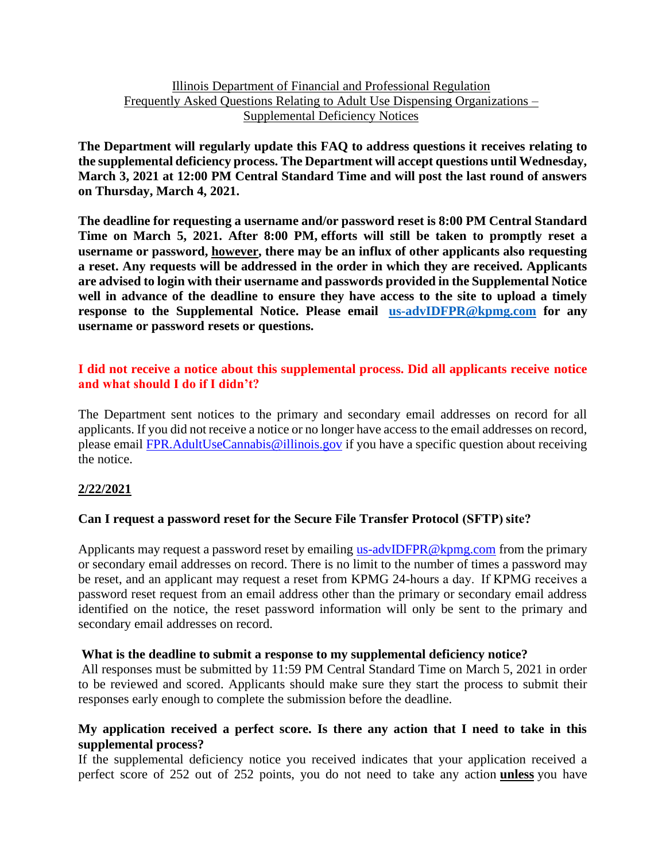# Illinois Department of Financial and Professional Regulation Frequently Asked Questions Relating to Adult Use Dispensing Organizations – Supplemental Deficiency Notices

**The Department will regularly update this FAQ to address questions it receives relating to the supplemental deficiency process. The Department will accept questions until Wednesday, March 3, 2021 at 12:00 PM Central Standard Time and will post the last round of answers on Thursday, March 4, 2021.**

**The deadline for requesting a username and/or password reset is 8:00 PM Central Standard Time on March 5, 2021. After 8:00 PM, efforts will still be taken to promptly reset a username or password, however, there may be an influx of other applicants also requesting a reset. Any requests will be addressed in the order in which they are received. Applicants are advised to login with their username and passwords provided in the Supplemental Notice well in advance of the deadline to ensure they have access to the site to upload a timely response to the Supplemental Notice. Please email [us-advIDFPR@kpmg.com](mailto:us-advIDFPR@kpmg.com) for any username or password resets or questions.**

# **I did not receive a notice about this supplemental process. Did all applicants receive notice and what should I do if I didn't?**

The Department sent notices to the primary and secondary email addresses on record for all applicants. If you did not receive a notice or no longer have access to the email addresses on record, please email [FPR.AdultUseCannabis@illinois.gov](mailto:FPR.AdultUseCannabis@illinois.gov) if you have a specific question about receiving the notice.

# **2/22/2021**

# **Can I request a password reset for the Secure File Transfer Protocol (SFTP) site?**

Applicants may request a password reset by emailing [us-advIDFPR@kpmg.com](mailto:us-advIDFPR@kpmg.com) from the primary or secondary email addresses on record. There is no limit to the number of times a password may be reset, and an applicant may request a reset from KPMG 24-hours a day.  If KPMG receives a password reset request from an email address other than the primary or secondary email address identified on the notice, the reset password information will only be sent to the primary and secondary email addresses on record.

#### **What is the deadline to submit a response to my supplemental deficiency notice?**

All responses must be submitted by 11:59 PM Central Standard Time on March 5, 2021 in order to be reviewed and scored. Applicants should make sure they start the process to submit their responses early enough to complete the submission before the deadline.

## **My application received a perfect score. Is there any action that I need to take in this supplemental process?**

If the supplemental deficiency notice you received indicates that your application received a perfect score of 252 out of 252 points, you do not need to take any action **unless** you have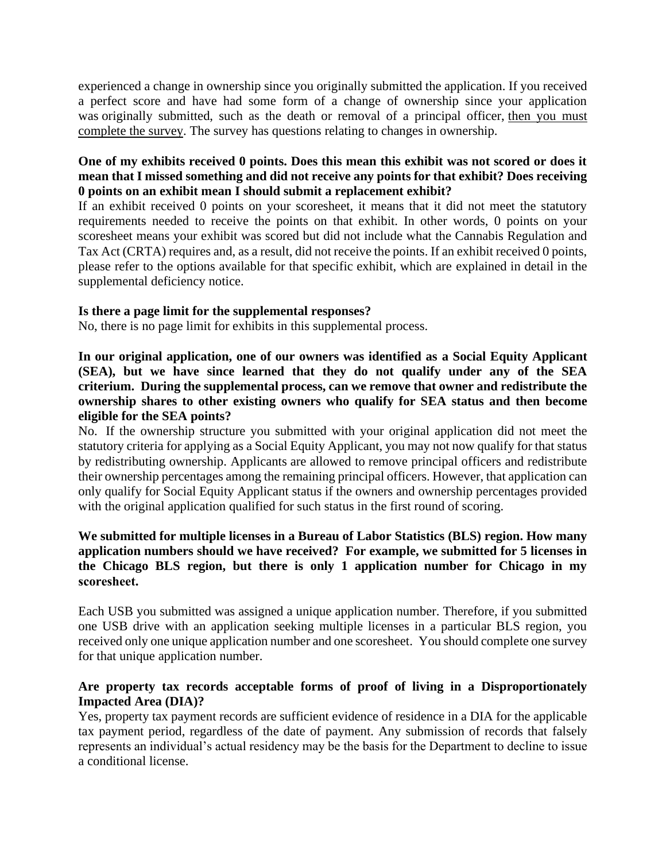experienced a change in ownership since you originally submitted the application. If you received a perfect score and have had some form of a change of ownership since your application was originally submitted, such as the death or removal of a principal officer, then you must complete the survey. The survey has questions relating to changes in ownership.

# **One of my exhibits received 0 points. Does this mean this exhibit was not scored or does it mean that I missed something and did not receive any points for that exhibit? Does receiving 0 points on an exhibit mean I should submit a replacement exhibit?**

If an exhibit received 0 points on your scoresheet, it means that it did not meet the statutory requirements needed to receive the points on that exhibit. In other words, 0 points on your scoresheet means your exhibit was scored but did not include what the Cannabis Regulation and Tax Act (CRTA) requires and, as a result, did not receive the points. If an exhibit received 0 points, please refer to the options available for that specific exhibit, which are explained in detail in the supplemental deficiency notice.

# **Is there a page limit for the supplemental responses?**

No, there is no page limit for exhibits in this supplemental process.

**In our original application, one of our owners was identified as a Social Equity Applicant (SEA), but we have since learned that they do not qualify under any of the SEA criterium. During the supplemental process, can we remove that owner and redistribute the ownership shares to other existing owners who qualify for SEA status and then become eligible for the SEA points?**

No. If the ownership structure you submitted with your original application did not meet the statutory criteria for applying as a Social Equity Applicant, you may not now qualify for that status by redistributing ownership. Applicants are allowed to remove principal officers and redistribute their ownership percentages among the remaining principal officers. However, that application can only qualify for Social Equity Applicant status if the owners and ownership percentages provided with the original application qualified for such status in the first round of scoring.

# **We submitted for multiple licenses in a Bureau of Labor Statistics (BLS) region. How many application numbers should we have received? For example, we submitted for 5 licenses in the Chicago BLS region, but there is only 1 application number for Chicago in my scoresheet.**

Each USB you submitted was assigned a unique application number. Therefore, if you submitted one USB drive with an application seeking multiple licenses in a particular BLS region, you received only one unique application number and one scoresheet. You should complete one survey for that unique application number.

## **Are property tax records acceptable forms of proof of living in a Disproportionately Impacted Area (DIA)?**

Yes, property tax payment records are sufficient evidence of residence in a DIA for the applicable tax payment period, regardless of the date of payment. Any submission of records that falsely represents an individual's actual residency may be the basis for the Department to decline to issue a conditional license.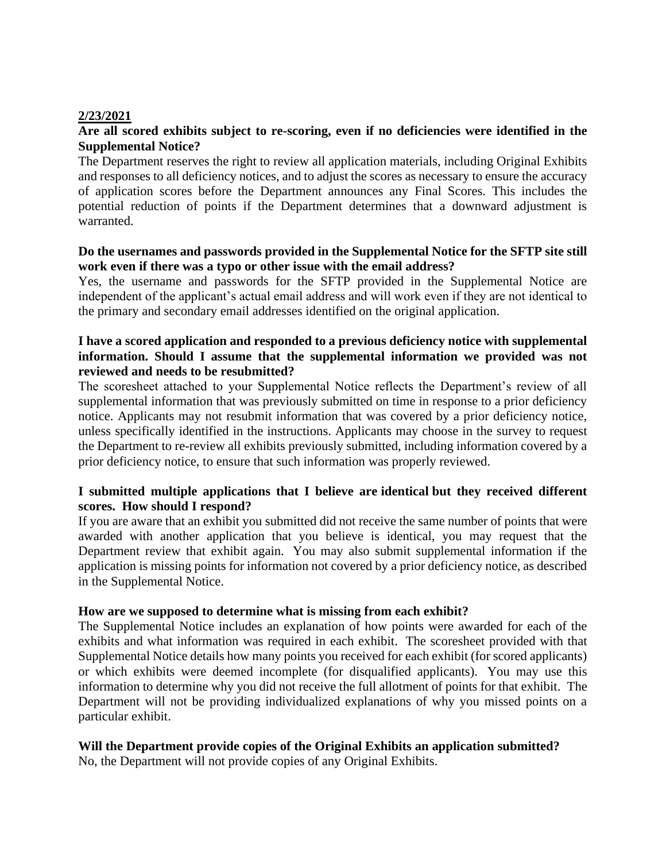#### **2/23/2021**

## **Are all scored exhibits subject to re-scoring, even if no deficiencies were identified in the Supplemental Notice?**

The Department reserves the right to review all application materials, including Original Exhibits and responses to all deficiency notices, and to adjust the scores as necessary to ensure the accuracy of application scores before the Department announces any Final Scores. This includes the potential reduction of points if the Department determines that a downward adjustment is warranted.

#### **Do the usernames and passwords provided in the Supplemental Notice for the SFTP site still work even if there was a typo or other issue with the email address?**

Yes, the username and passwords for the SFTP provided in the Supplemental Notice are independent of the applicant's actual email address and will work even if they are not identical to the primary and secondary email addresses identified on the original application.

## **I have a scored application and responded to a previous deficiency notice with supplemental information. Should I assume that the supplemental information we provided was not reviewed and needs to be resubmitted?**

The scoresheet attached to your Supplemental Notice reflects the Department's review of all supplemental information that was previously submitted on time in response to a prior deficiency notice. Applicants may not resubmit information that was covered by a prior deficiency notice, unless specifically identified in the instructions. Applicants may choose in the survey to request the Department to re-review all exhibits previously submitted, including information covered by a prior deficiency notice, to ensure that such information was properly reviewed.

# **I submitted multiple applications that I believe are identical but they received different scores. How should I respond?**

If you are aware that an exhibit you submitted did not receive the same number of points that were awarded with another application that you believe is identical, you may request that the Department review that exhibit again. You may also submit supplemental information if the application is missing points for information not covered by a prior deficiency notice, as described in the Supplemental Notice.

#### **How are we supposed to determine what is missing from each exhibit?**

The Supplemental Notice includes an explanation of how points were awarded for each of the exhibits and what information was required in each exhibit. The scoresheet provided with that Supplemental Notice details how many points you received for each exhibit (for scored applicants) or which exhibits were deemed incomplete (for disqualified applicants). You may use this information to determine why you did not receive the full allotment of points for that exhibit. The Department will not be providing individualized explanations of why you missed points on a particular exhibit.

#### **Will the Department provide copies of the Original Exhibits an application submitted?**

No, the Department will not provide copies of any Original Exhibits.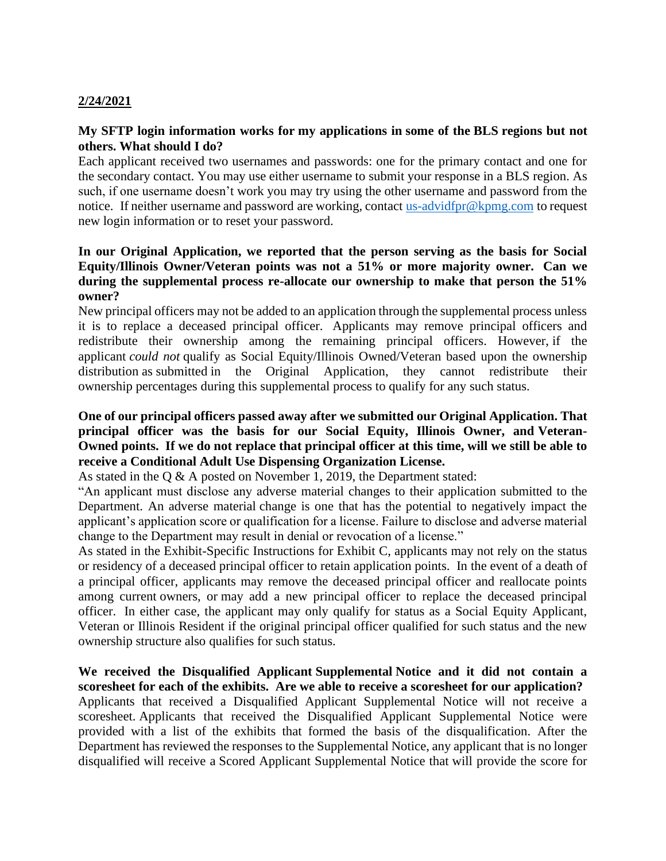# **2/24/2021**

# **My SFTP login information works for my applications in some of the BLS regions but not others. What should I do?**

Each applicant received two usernames and passwords: one for the primary contact and one for the secondary contact. You may use either username to submit your response in a BLS region. As such, if one username doesn't work you may try using the other username and password from the notice. If neither username and password are working, contact [us-advidfpr@kpmg.com](mailto:us-advidfpr@kpmg.com) to request new login information or to reset your password.

## **In our Original Application, we reported that the person serving as the basis for Social Equity/Illinois Owner/Veteran points was not a 51% or more majority owner. Can we during the supplemental process re-allocate our ownership to make that person the 51% owner?**

New principal officers may not be added to an application through the supplemental process unless it is to replace a deceased principal officer. Applicants may remove principal officers and redistribute their ownership among the remaining principal officers. However, if the applicant *could not* qualify as Social Equity/Illinois Owned/Veteran based upon the ownership distribution as submitted in the Original Application, they cannot redistribute their ownership percentages during this supplemental process to qualify for any such status.

# **One of our principal officers passed away after we submitted our Original Application. That principal officer was the basis for our Social Equity, Illinois Owner, and Veteran-Owned points. If we do not replace that principal officer at this time, will we still be able to receive a Conditional Adult Use Dispensing Organization License.**

As stated in the Q & A posted on November 1, 2019, the Department stated:

"An applicant must disclose any adverse material changes to their application submitted to the Department. An adverse material change is one that has the potential to negatively impact the applicant's application score or qualification for a license. Failure to disclose and adverse material change to the Department may result in denial or revocation of a license."

As stated in the Exhibit-Specific Instructions for Exhibit C, applicants may not rely on the status or residency of a deceased principal officer to retain application points. In the event of a death of a principal officer, applicants may remove the deceased principal officer and reallocate points among current owners, or may add a new principal officer to replace the deceased principal officer. In either case, the applicant may only qualify for status as a Social Equity Applicant, Veteran or Illinois Resident if the original principal officer qualified for such status and the new ownership structure also qualifies for such status.

**We received the Disqualified Applicant Supplemental Notice and it did not contain a scoresheet for each of the exhibits. Are we able to receive a scoresheet for our application?** Applicants that received a Disqualified Applicant Supplemental Notice will not receive a scoresheet. Applicants that received the Disqualified Applicant Supplemental Notice were provided with a list of the exhibits that formed the basis of the disqualification. After the Department has reviewed the responses to the Supplemental Notice, any applicant that is no longer disqualified will receive a Scored Applicant Supplemental Notice that will provide the score for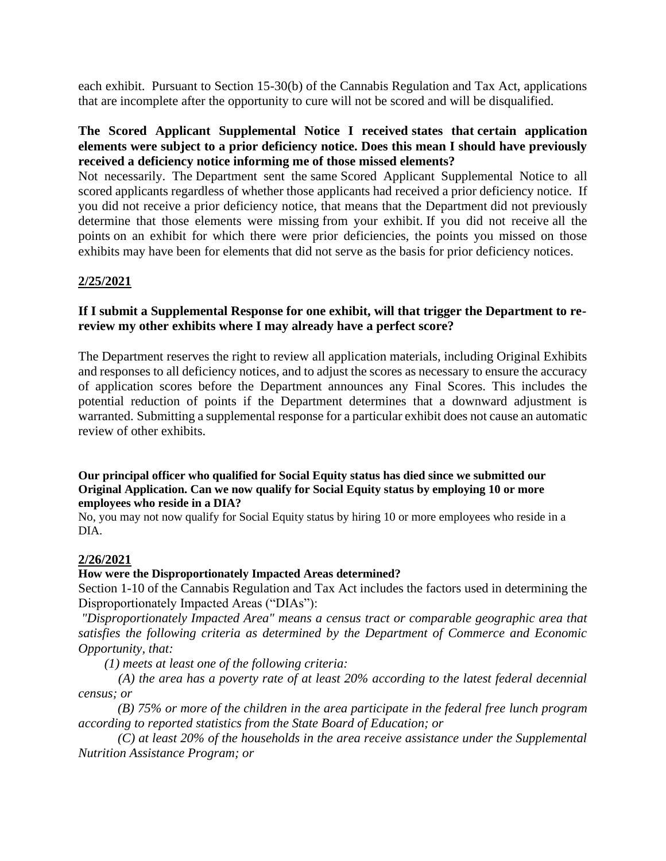each exhibit. Pursuant to Section 15-30(b) of the Cannabis Regulation and Tax Act, applications that are incomplete after the opportunity to cure will not be scored and will be disqualified.

## **The Scored Applicant Supplemental Notice I received states that certain application elements were subject to a prior deficiency notice. Does this mean I should have previously received a deficiency notice informing me of those missed elements?**

Not necessarily. The Department sent the same Scored Applicant Supplemental Notice to all scored applicants regardless of whether those applicants had received a prior deficiency notice. If you did not receive a prior deficiency notice, that means that the Department did not previously determine that those elements were missing from your exhibit. If you did not receive all the points on an exhibit for which there were prior deficiencies, the points you missed on those exhibits may have been for elements that did not serve as the basis for prior deficiency notices.

## **2/25/2021**

#### **If I submit a Supplemental Response for one exhibit, will that trigger the Department to rereview my other exhibits where I may already have a perfect score?**

The Department reserves the right to review all application materials, including Original Exhibits and responses to all deficiency notices, and to adjust the scores as necessary to ensure the accuracy of application scores before the Department announces any Final Scores. This includes the potential reduction of points if the Department determines that a downward adjustment is warranted. Submitting a supplemental response for a particular exhibit does not cause an automatic review of other exhibits.

#### **Our principal officer who qualified for Social Equity status has died since we submitted our Original Application. Can we now qualify for Social Equity status by employing 10 or more employees who reside in a DIA?**

No, you may not now qualify for Social Equity status by hiring 10 or more employees who reside in a DIA.

#### **2/26/2021**

#### **How were the Disproportionately Impacted Areas determined?**

Section 1-10 of the Cannabis Regulation and Tax Act includes the factors used in determining the Disproportionately Impacted Areas ("DIAs"):

*"Disproportionately Impacted Area" means a census tract or comparable geographic area that satisfies the following criteria as determined by the Department of Commerce and Economic Opportunity, that:*

 *(1) meets at least one of the following criteria:*

 *(A) the area has a poverty rate of at least 20% according to the latest federal decennial census; or*

 *(B) 75% or more of the children in the area participate in the federal free lunch program according to reported statistics from the State Board of Education; or*

 *(C) at least 20% of the households in the area receive assistance under the Supplemental Nutrition Assistance Program; or*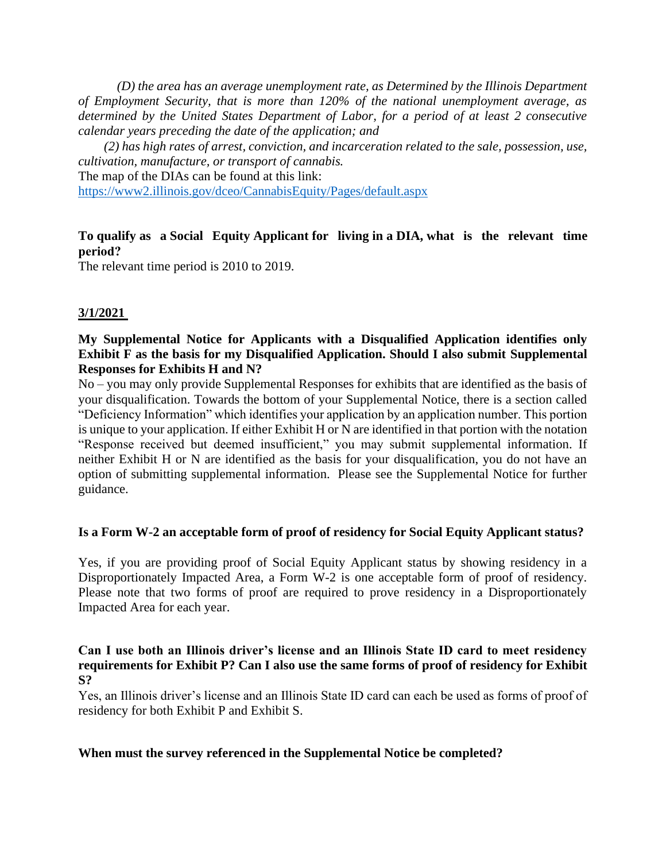*(D) the area has an average unemployment rate, as Determined by the Illinois Department of Employment Security, that is more than 120% of the national unemployment average, as determined by the United States Department of Labor, for a period of at least 2 consecutive calendar years preceding the date of the application; and*

 *(2) has high rates of arrest, conviction, and incarceration related to the sale, possession, use, cultivation, manufacture, or transport of cannabis.* The map of the DIAs can be found at this link:

<https://www2.illinois.gov/dceo/CannabisEquity/Pages/default.aspx>

# **To qualify as a Social Equity Applicant for living in a DIA, what is the relevant time period?**

The relevant time period is 2010 to 2019.

# **3/1/2021**

## **My Supplemental Notice for Applicants with a Disqualified Application identifies only Exhibit F as the basis for my Disqualified Application. Should I also submit Supplemental Responses for Exhibits H and N?**

No – you may only provide Supplemental Responses for exhibits that are identified as the basis of your disqualification. Towards the bottom of your Supplemental Notice, there is a section called "Deficiency Information" which identifies your application by an application number. This portion is unique to your application. If either Exhibit H or N are identified in that portion with the notation "Response received but deemed insufficient," you may submit supplemental information. If neither Exhibit H or N are identified as the basis for your disqualification, you do not have an option of submitting supplemental information. Please see the Supplemental Notice for further guidance.

# **Is a Form W-2 an acceptable form of proof of residency for Social Equity Applicant status?**

Yes, if you are providing proof of Social Equity Applicant status by showing residency in a Disproportionately Impacted Area, a Form W-2 is one acceptable form of proof of residency. Please note that two forms of proof are required to prove residency in a Disproportionately Impacted Area for each year.

## **Can I use both an Illinois driver's license and an Illinois State ID card to meet residency requirements for Exhibit P? Can I also use the same forms of proof of residency for Exhibit S?**

Yes, an Illinois driver's license and an Illinois State ID card can each be used as forms of proof of residency for both Exhibit P and Exhibit S.

#### **When must the survey referenced in the Supplemental Notice be completed?**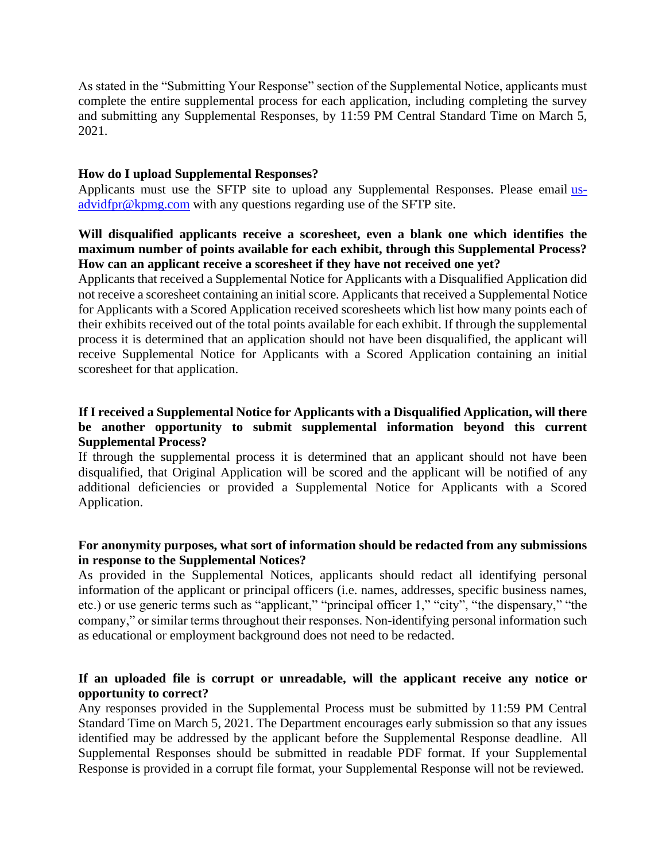As stated in the "Submitting Your Response" section of the Supplemental Notice, applicants must complete the entire supplemental process for each application, including completing the survey and submitting any Supplemental Responses, by 11:59 PM Central Standard Time on March 5, 2021.

#### **How do I upload Supplemental Responses?**

Applicants must use the SFTP site to upload any Supplemental Responses. Please email usadvidfpr@kpmg.com with any questions regarding use of the SFTP site.

## **Will disqualified applicants receive a scoresheet, even a blank one which identifies the maximum number of points available for each exhibit, through this Supplemental Process? How can an applicant receive a scoresheet if they have not received one yet?**

Applicants that received a Supplemental Notice for Applicants with a Disqualified Application did not receive a scoresheet containing an initial score. Applicants that received a Supplemental Notice for Applicants with a Scored Application received scoresheets which list how many points each of their exhibits received out of the total points available for each exhibit. If through the supplemental process it is determined that an application should not have been disqualified, the applicant will receive Supplemental Notice for Applicants with a Scored Application containing an initial scoresheet for that application.

# **If I received a Supplemental Notice for Applicants with a Disqualified Application, will there be another opportunity to submit supplemental information beyond this current Supplemental Process?**

If through the supplemental process it is determined that an applicant should not have been disqualified, that Original Application will be scored and the applicant will be notified of any additional deficiencies or provided a Supplemental Notice for Applicants with a Scored Application.

## **For anonymity purposes, what sort of information should be redacted from any submissions in response to the Supplemental Notices?**

As provided in the Supplemental Notices, applicants should redact all identifying personal information of the applicant or principal officers (i.e. names, addresses, specific business names, etc.) or use generic terms such as "applicant," "principal officer 1," "city", "the dispensary," "the company," or similar terms throughout their responses. Non-identifying personal information such as educational or employment background does not need to be redacted.

## **If an uploaded file is corrupt or unreadable, will the applicant receive any notice or opportunity to correct?**

Any responses provided in the Supplemental Process must be submitted by 11:59 PM Central Standard Time on March 5, 2021. The Department encourages early submission so that any issues identified may be addressed by the applicant before the Supplemental Response deadline. All Supplemental Responses should be submitted in readable PDF format. If your Supplemental Response is provided in a corrupt file format, your Supplemental Response will not be reviewed.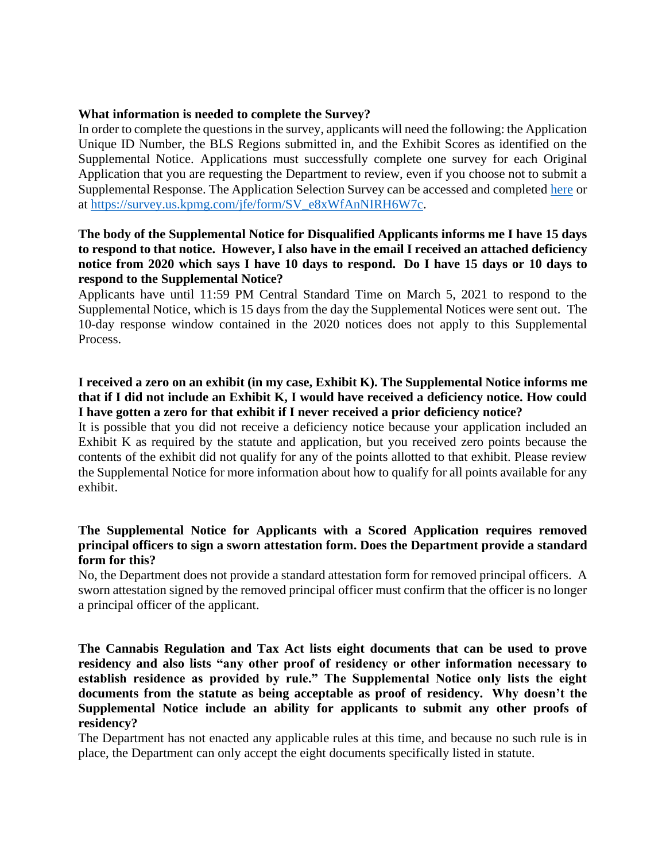#### **What information is needed to complete the Survey?**

In order to complete the questions in the survey, applicants will need the following: the Application Unique ID Number, the BLS Regions submitted in, and the Exhibit Scores as identified on the Supplemental Notice. Applications must successfully complete one survey for each Original Application that you are requesting the Department to review, even if you choose not to submit a Supplemental Response. The Application Selection Survey can be accessed and completed here or at https://survey.us.kpmg.com/jfe/form/SV\_e8xWfAnNIRH6W7c.

## **The body of the Supplemental Notice for Disqualified Applicants informs me I have 15 days to respond to that notice. However, I also have in the email I received an attached deficiency notice from 2020 which says I have 10 days to respond. Do I have 15 days or 10 days to respond to the Supplemental Notice?**

Applicants have until 11:59 PM Central Standard Time on March 5, 2021 to respond to the Supplemental Notice, which is 15 days from the day the Supplemental Notices were sent out. The 10-day response window contained in the 2020 notices does not apply to this Supplemental Process.

## **I received a zero on an exhibit (in my case, Exhibit K). The Supplemental Notice informs me that if I did not include an Exhibit K, I would have received a deficiency notice. How could I have gotten a zero for that exhibit if I never received a prior deficiency notice?**

It is possible that you did not receive a deficiency notice because your application included an Exhibit K as required by the statute and application, but you received zero points because the contents of the exhibit did not qualify for any of the points allotted to that exhibit. Please review the Supplemental Notice for more information about how to qualify for all points available for any exhibit.

## **The Supplemental Notice for Applicants with a Scored Application requires removed principal officers to sign a sworn attestation form. Does the Department provide a standard form for this?**

No, the Department does not provide a standard attestation form for removed principal officers. A sworn attestation signed by the removed principal officer must confirm that the officer is no longer a principal officer of the applicant.

**The Cannabis Regulation and Tax Act lists eight documents that can be used to prove residency and also lists "any other proof of residency or other information necessary to establish residence as provided by rule." The Supplemental Notice only lists the eight documents from the statute as being acceptable as proof of residency. Why doesn't the Supplemental Notice include an ability for applicants to submit any other proofs of residency?**

The Department has not enacted any applicable rules at this time, and because no such rule is in place, the Department can only accept the eight documents specifically listed in statute.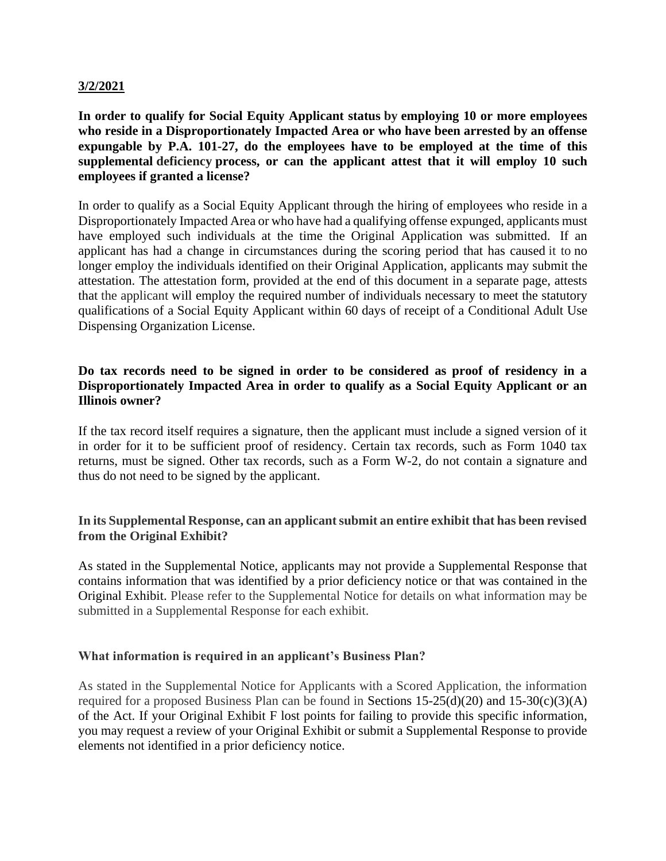#### **3/2/2021**

**In order to qualify for Social Equity Applicant status by employing 10 or more employees who reside in a Disproportionately Impacted Area or who have been arrested by an offense expungable by P.A. 101-27, do the employees have to be employed at the time of this supplemental deficiency process, or can the applicant attest that it will employ 10 such employees if granted a license?**

In order to qualify as a Social Equity Applicant through the hiring of employees who reside in a Disproportionately Impacted Area or who have had a qualifying offense expunged, applicants must have employed such individuals at the time the Original Application was submitted. If an applicant has had a change in circumstances during the scoring period that has caused it to no longer employ the individuals identified on their Original Application, applicants may submit the attestation. The attestation form, provided at the end of this document in a separate page, attests that the applicant will employ the required number of individuals necessary to meet the statutory qualifications of a Social Equity Applicant within 60 days of receipt of a Conditional Adult Use Dispensing Organization License.

## **Do tax records need to be signed in order to be considered as proof of residency in a Disproportionately Impacted Area in order to qualify as a Social Equity Applicant or an Illinois owner?**

If the tax record itself requires a signature, then the applicant must include a signed version of it in order for it to be sufficient proof of residency. Certain tax records, such as Form 1040 tax returns, must be signed. Other tax records, such as a Form W-2, do not contain a signature and thus do not need to be signed by the applicant.

#### **In its Supplemental Response, can an applicant submit an entire exhibit that has been revised from the Original Exhibit?**

As stated in the Supplemental Notice, applicants may not provide a Supplemental Response that contains information that was identified by a prior deficiency notice or that was contained in the Original Exhibit. Please refer to the Supplemental Notice for details on what information may be submitted in a Supplemental Response for each exhibit.

#### **What information is required in an applicant's Business Plan?**

As stated in the Supplemental Notice for Applicants with a Scored Application, the information required for a proposed Business Plan can be found in Sections  $15-25(d)(20)$  and  $15-30(c)(3)(A)$ of the Act. If your Original Exhibit F lost points for failing to provide this specific information, you may request a review of your Original Exhibit or submit a Supplemental Response to provide elements not identified in a prior deficiency notice.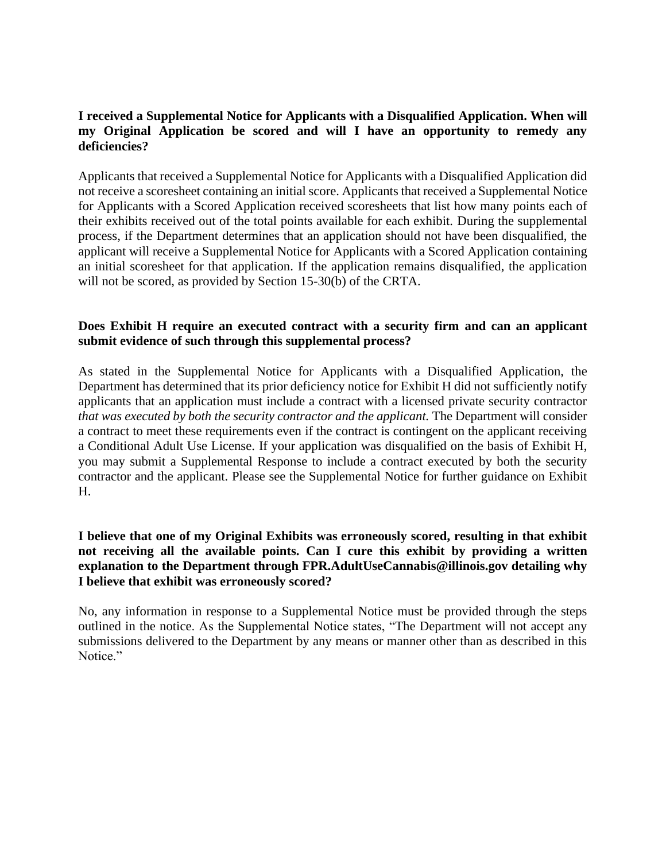# **I received a Supplemental Notice for Applicants with a Disqualified Application. When will my Original Application be scored and will I have an opportunity to remedy any deficiencies?**

Applicants that received a Supplemental Notice for Applicants with a Disqualified Application did not receive a scoresheet containing an initial score. Applicants that received a Supplemental Notice for Applicants with a Scored Application received scoresheets that list how many points each of their exhibits received out of the total points available for each exhibit. During the supplemental process, if the Department determines that an application should not have been disqualified, the applicant will receive a Supplemental Notice for Applicants with a Scored Application containing an initial scoresheet for that application. If the application remains disqualified, the application will not be scored, as provided by Section 15-30(b) of the CRTA.

## **Does Exhibit H require an executed contract with a security firm and can an applicant submit evidence of such through this supplemental process?**

As stated in the Supplemental Notice for Applicants with a Disqualified Application, the Department has determined that its prior deficiency notice for Exhibit H did not sufficiently notify applicants that an application must include a contract with a licensed private security contractor *that was executed by both the security contractor and the applicant*. The Department will consider a contract to meet these requirements even if the contract is contingent on the applicant receiving a Conditional Adult Use License. If your application was disqualified on the basis of Exhibit H, you may submit a Supplemental Response to include a contract executed by both the security contractor and the applicant. Please see the Supplemental Notice for further guidance on Exhibit H.

## **I believe that one of my Original Exhibits was erroneously scored, resulting in that exhibit not receiving all the available points. Can I cure this exhibit by providing a written explanation to the Department through FPR.AdultUseCannabis@illinois.gov detailing why I believe that exhibit was erroneously scored?**

No, any information in response to a Supplemental Notice must be provided through the steps outlined in the notice. As the Supplemental Notice states, "The Department will not accept any submissions delivered to the Department by any means or manner other than as described in this Notice."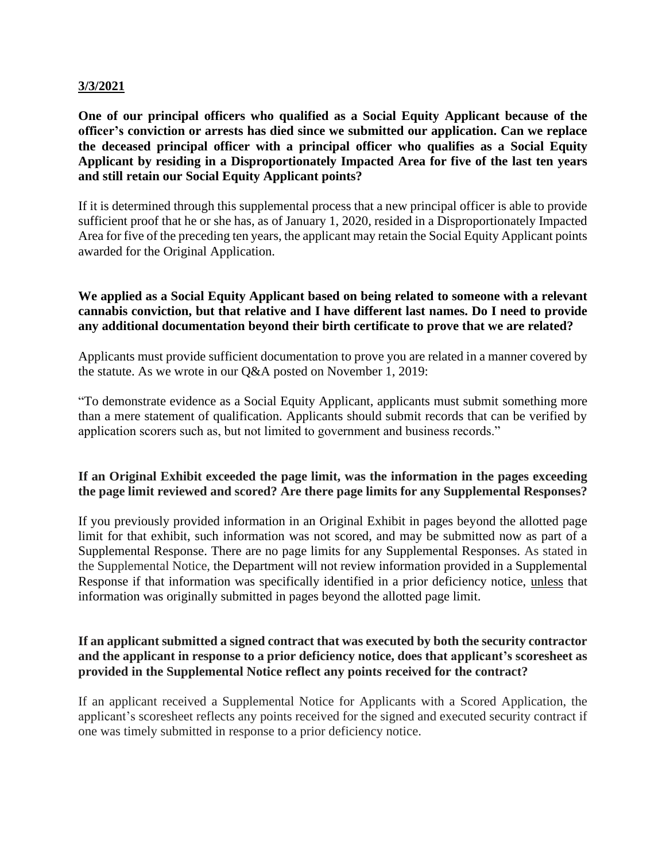#### **3/3/2021**

**One of our principal officers who qualified as a Social Equity Applicant because of the officer's conviction or arrests has died since we submitted our application. Can we replace the deceased principal officer with a principal officer who qualifies as a Social Equity Applicant by residing in a Disproportionately Impacted Area for five of the last ten years and still retain our Social Equity Applicant points?**

If it is determined through this supplemental process that a new principal officer is able to provide sufficient proof that he or she has, as of January 1, 2020, resided in a Disproportionately Impacted Area for five of the preceding ten years, the applicant may retain the Social Equity Applicant points awarded for the Original Application.

## **We applied as a Social Equity Applicant based on being related to someone with a relevant cannabis conviction, but that relative and I have different last names. Do I need to provide any additional documentation beyond their birth certificate to prove that we are related?**

Applicants must provide sufficient documentation to prove you are related in a manner covered by the statute. As we wrote in our Q&A posted on November 1, 2019:

"To demonstrate evidence as a Social Equity Applicant, applicants must submit something more than a mere statement of qualification. Applicants should submit records that can be verified by application scorers such as, but not limited to government and business records."

# **If an Original Exhibit exceeded the page limit, was the information in the pages exceeding the page limit reviewed and scored? Are there page limits for any Supplemental Responses?**

If you previously provided information in an Original Exhibit in pages beyond the allotted page limit for that exhibit, such information was not scored, and may be submitted now as part of a Supplemental Response. There are no page limits for any Supplemental Responses. As stated in the Supplemental Notice, the Department will not review information provided in a Supplemental Response if that information was specifically identified in a prior deficiency notice, unless that information was originally submitted in pages beyond the allotted page limit.

## **If an applicant submitted a signed contract that was executed by both the security contractor and the applicant in response to a prior deficiency notice, does that applicant's scoresheet as provided in the Supplemental Notice reflect any points received for the contract?**

If an applicant received a Supplemental Notice for Applicants with a Scored Application, the applicant's scoresheet reflects any points received for the signed and executed security contract if one was timely submitted in response to a prior deficiency notice.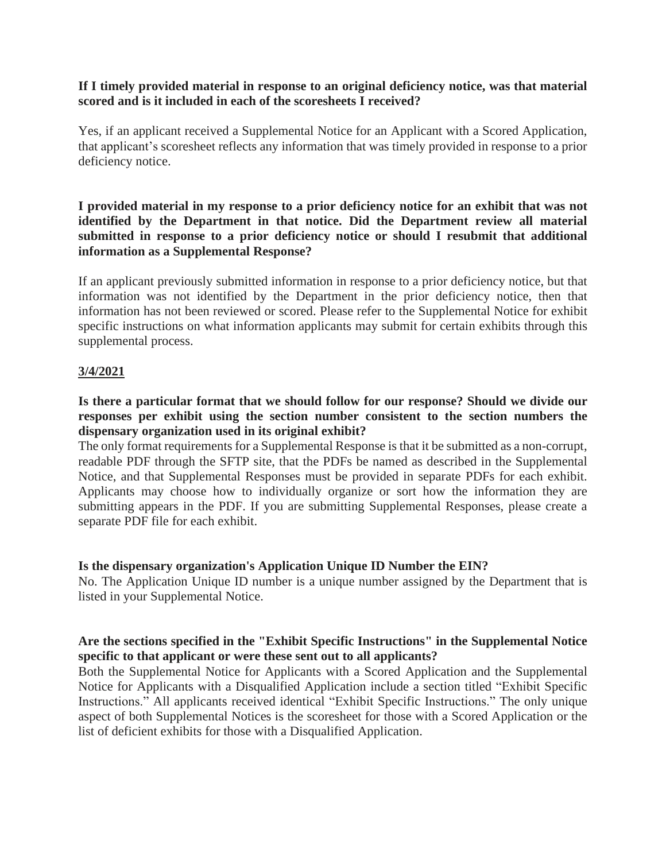#### **If I timely provided material in response to an original deficiency notice, was that material scored and is it included in each of the scoresheets I received?**

Yes, if an applicant received a Supplemental Notice for an Applicant with a Scored Application, that applicant's scoresheet reflects any information that was timely provided in response to a prior deficiency notice.

## **I provided material in my response to a prior deficiency notice for an exhibit that was not identified by the Department in that notice. Did the Department review all material submitted in response to a prior deficiency notice or should I resubmit that additional information as a Supplemental Response?**

If an applicant previously submitted information in response to a prior deficiency notice, but that information was not identified by the Department in the prior deficiency notice, then that information has not been reviewed or scored. Please refer to the Supplemental Notice for exhibit specific instructions on what information applicants may submit for certain exhibits through this supplemental process.

## **3/4/2021**

## **Is there a particular format that we should follow for our response? Should we divide our responses per exhibit using the section number consistent to the section numbers the dispensary organization used in its original exhibit?**

The only format requirements for a Supplemental Response is that it be submitted as a non-corrupt, readable PDF through the SFTP site, that the PDFs be named as described in the Supplemental Notice, and that Supplemental Responses must be provided in separate PDFs for each exhibit. Applicants may choose how to individually organize or sort how the information they are submitting appears in the PDF. If you are submitting Supplemental Responses, please create a separate PDF file for each exhibit.

#### **Is the dispensary organization's Application Unique ID Number the EIN?**

No. The Application Unique ID number is a unique number assigned by the Department that is listed in your Supplemental Notice.

## **Are the sections specified in the "Exhibit Specific Instructions" in the Supplemental Notice specific to that applicant or were these sent out to all applicants?**

Both the Supplemental Notice for Applicants with a Scored Application and the Supplemental Notice for Applicants with a Disqualified Application include a section titled "Exhibit Specific Instructions." All applicants received identical "Exhibit Specific Instructions." The only unique aspect of both Supplemental Notices is the scoresheet for those with a Scored Application or the list of deficient exhibits for those with a Disqualified Application.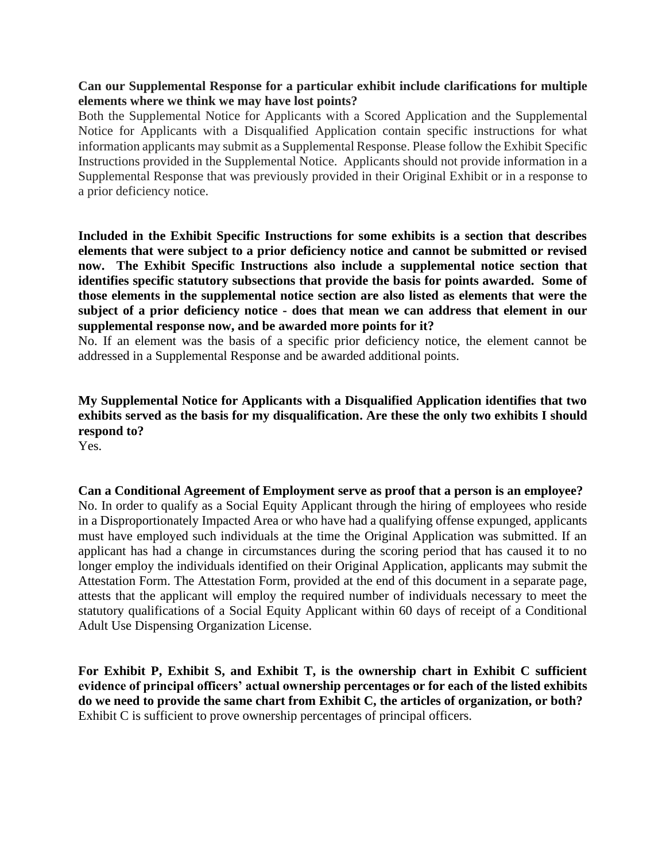## **Can our Supplemental Response for a particular exhibit include clarifications for multiple elements where we think we may have lost points?**

Both the Supplemental Notice for Applicants with a Scored Application and the Supplemental Notice for Applicants with a Disqualified Application contain specific instructions for what information applicants may submit as a Supplemental Response. Please follow the Exhibit Specific Instructions provided in the Supplemental Notice. Applicants should not provide information in a Supplemental Response that was previously provided in their Original Exhibit or in a response to a prior deficiency notice.

**Included in the Exhibit Specific Instructions for some exhibits is a section that describes elements that were subject to a prior deficiency notice and cannot be submitted or revised now. The Exhibit Specific Instructions also include a supplemental notice section that identifies specific statutory subsections that provide the basis for points awarded. Some of those elements in the supplemental notice section are also listed as elements that were the subject of a prior deficiency notice - does that mean we can address that element in our supplemental response now, and be awarded more points for it?** 

No. If an element was the basis of a specific prior deficiency notice, the element cannot be addressed in a Supplemental Response and be awarded additional points.

# **My Supplemental Notice for Applicants with a Disqualified Application identifies that two exhibits served as the basis for my disqualification. Are these the only two exhibits I should respond to?**

Yes.

# **Can a Conditional Agreement of Employment serve as proof that a person is an employee?**

No. In order to qualify as a Social Equity Applicant through the hiring of employees who reside in a Disproportionately Impacted Area or who have had a qualifying offense expunged, applicants must have employed such individuals at the time the Original Application was submitted. If an applicant has had a change in circumstances during the scoring period that has caused it to no longer employ the individuals identified on their Original Application, applicants may submit the Attestation Form. The Attestation Form, provided at the end of this document in a separate page, attests that the applicant will employ the required number of individuals necessary to meet the statutory qualifications of a Social Equity Applicant within 60 days of receipt of a Conditional Adult Use Dispensing Organization License.

**For Exhibit P, Exhibit S, and Exhibit T, is the ownership chart in Exhibit C sufficient evidence of principal officers' actual ownership percentages or for each of the listed exhibits do we need to provide the same chart from Exhibit C, the articles of organization, or both?** Exhibit C is sufficient to prove ownership percentages of principal officers.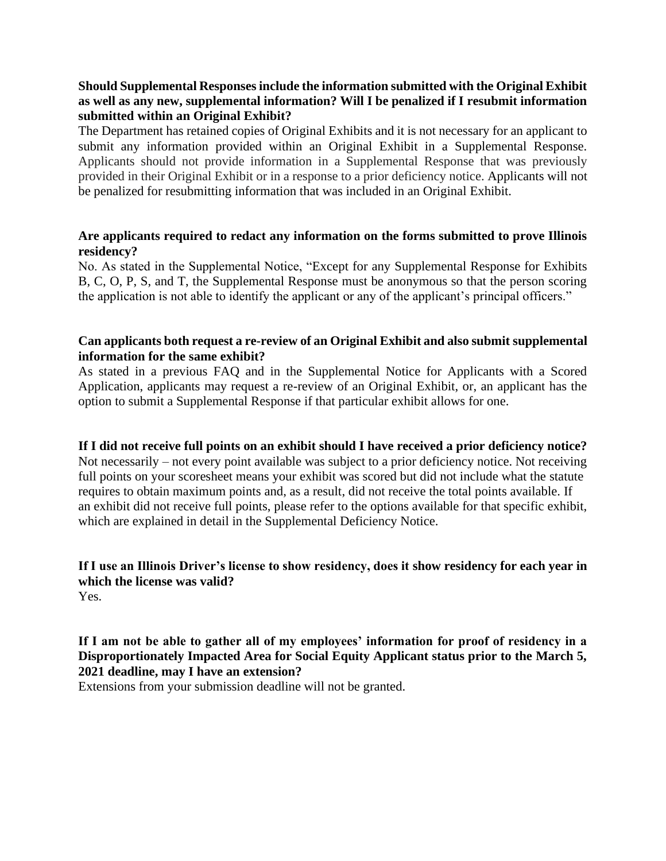# **Should Supplemental Responses include the information submitted with the Original Exhibit as well as any new, supplemental information? Will I be penalized if I resubmit information submitted within an Original Exhibit?**

The Department has retained copies of Original Exhibits and it is not necessary for an applicant to submit any information provided within an Original Exhibit in a Supplemental Response. Applicants should not provide information in a Supplemental Response that was previously provided in their Original Exhibit or in a response to a prior deficiency notice. Applicants will not be penalized for resubmitting information that was included in an Original Exhibit.

## **Are applicants required to redact any information on the forms submitted to prove Illinois residency?**

No. As stated in the Supplemental Notice, "Except for any Supplemental Response for Exhibits B, C, O, P, S, and T, the Supplemental Response must be anonymous so that the person scoring the application is not able to identify the applicant or any of the applicant's principal officers."

#### **Can applicants both request a re-review of an Original Exhibit and also submit supplemental information for the same exhibit?**

As stated in a previous FAQ and in the Supplemental Notice for Applicants with a Scored Application, applicants may request a re-review of an Original Exhibit, or, an applicant has the option to submit a Supplemental Response if that particular exhibit allows for one.

# **If I did not receive full points on an exhibit should I have received a prior deficiency notice?** Not necessarily – not every point available was subject to a prior deficiency notice. Not receiving full points on your scoresheet means your exhibit was scored but did not include what the statute requires to obtain maximum points and, as a result, did not receive the total points available. If an exhibit did not receive full points, please refer to the options available for that specific exhibit, which are explained in detail in the Supplemental Deficiency Notice.

# **If I use an Illinois Driver's license to show residency, does it show residency for each year in which the license was valid?**

Yes.

# **If I am not be able to gather all of my employees' information for proof of residency in a Disproportionately Impacted Area for Social Equity Applicant status prior to the March 5, 2021 deadline, may I have an extension?**

Extensions from your submission deadline will not be granted.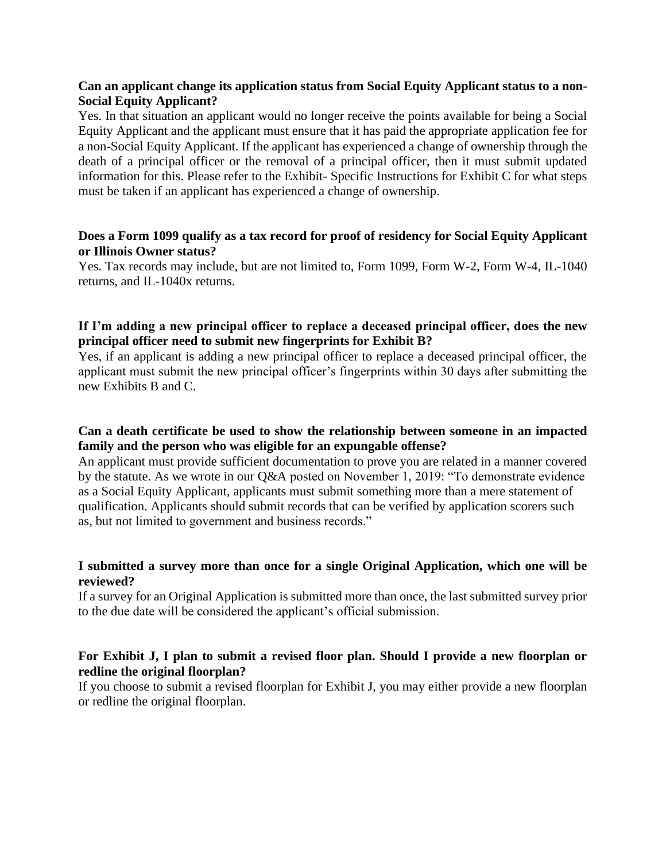## **Can an applicant change its application status from Social Equity Applicant status to a non-Social Equity Applicant?**

Yes. In that situation an applicant would no longer receive the points available for being a Social Equity Applicant and the applicant must ensure that it has paid the appropriate application fee for a non-Social Equity Applicant. If the applicant has experienced a change of ownership through the death of a principal officer or the removal of a principal officer, then it must submit updated information for this. Please refer to the Exhibit- Specific Instructions for Exhibit C for what steps must be taken if an applicant has experienced a change of ownership.

## **Does a Form 1099 qualify as a tax record for proof of residency for Social Equity Applicant or Illinois Owner status?**

Yes. Tax records may include, but are not limited to, Form 1099, Form W-2, Form W-4, IL-1040 returns, and IL-1040x returns.

## **If I'm adding a new principal officer to replace a deceased principal officer, does the new principal officer need to submit new fingerprints for Exhibit B?**

Yes, if an applicant is adding a new principal officer to replace a deceased principal officer, the applicant must submit the new principal officer's fingerprints within 30 days after submitting the new Exhibits B and C.

#### **Can a death certificate be used to show the relationship between someone in an impacted family and the person who was eligible for an expungable offense?**

An applicant must provide sufficient documentation to prove you are related in a manner covered by the statute. As we wrote in our Q&A posted on November 1, 2019: "To demonstrate evidence as a Social Equity Applicant, applicants must submit something more than a mere statement of qualification. Applicants should submit records that can be verified by application scorers such as, but not limited to government and business records."

## **I submitted a survey more than once for a single Original Application, which one will be reviewed?**

If a survey for an Original Application is submitted more than once, the last submitted survey prior to the due date will be considered the applicant's official submission.

# **For Exhibit J, I plan to submit a revised floor plan. Should I provide a new floorplan or redline the original floorplan?**

If you choose to submit a revised floorplan for Exhibit J, you may either provide a new floorplan or redline the original floorplan.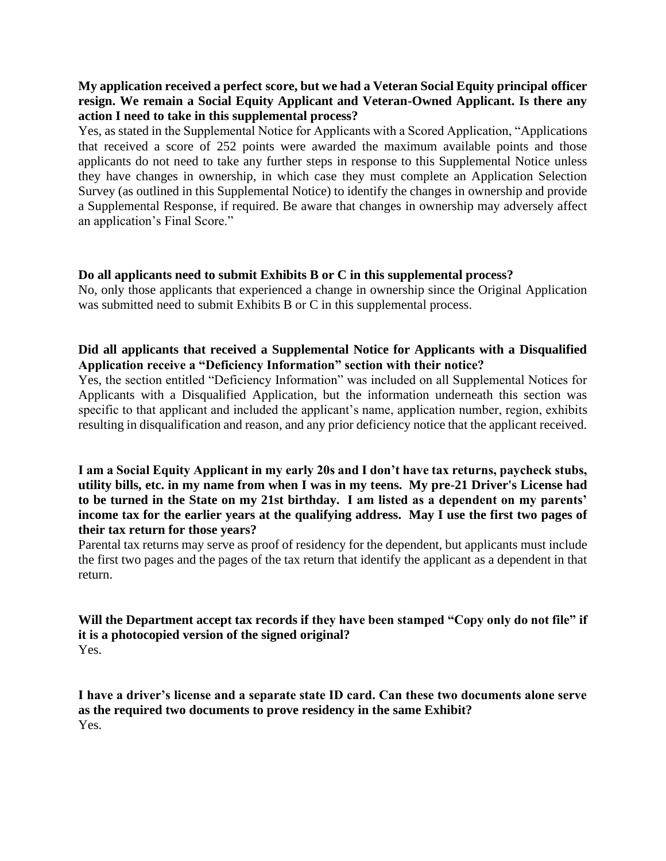# **My application received a perfect score, but we had a Veteran Social Equity principal officer resign. We remain a Social Equity Applicant and Veteran-Owned Applicant. Is there any action I need to take in this supplemental process?**

Yes, as stated in the Supplemental Notice for Applicants with a Scored Application, "Applications that received a score of 252 points were awarded the maximum available points and those applicants do not need to take any further steps in response to this Supplemental Notice unless they have changes in ownership, in which case they must complete an Application Selection Survey (as outlined in this Supplemental Notice) to identify the changes in ownership and provide a Supplemental Response, if required. Be aware that changes in ownership may adversely affect an application's Final Score."

## **Do all applicants need to submit Exhibits B or C in this supplemental process?**

No, only those applicants that experienced a change in ownership since the Original Application was submitted need to submit Exhibits B or C in this supplemental process.

# **Did all applicants that received a Supplemental Notice for Applicants with a Disqualified Application receive a "Deficiency Information" section with their notice?**

Yes, the section entitled "Deficiency Information" was included on all Supplemental Notices for Applicants with a Disqualified Application, but the information underneath this section was specific to that applicant and included the applicant's name, application number, region, exhibits resulting in disqualification and reason, and any prior deficiency notice that the applicant received.

## **I am a Social Equity Applicant in my early 20s and I don't have tax returns, paycheck stubs, utility bills, etc. in my name from when I was in my teens. My pre-21 Driver's License had to be turned in the State on my 21st birthday. I am listed as a dependent on my parents' income tax for the earlier years at the qualifying address. May I use the first two pages of their tax return for those years?**

Parental tax returns may serve as proof of residency for the dependent, but applicants must include the first two pages and the pages of the tax return that identify the applicant as a dependent in that return.

#### **Will the Department accept tax records if they have been stamped "Copy only do not file" if it is a photocopied version of the signed original?** Yes.

**I have a driver's license and a separate state ID card. Can these two documents alone serve as the required two documents to prove residency in the same Exhibit?** Yes.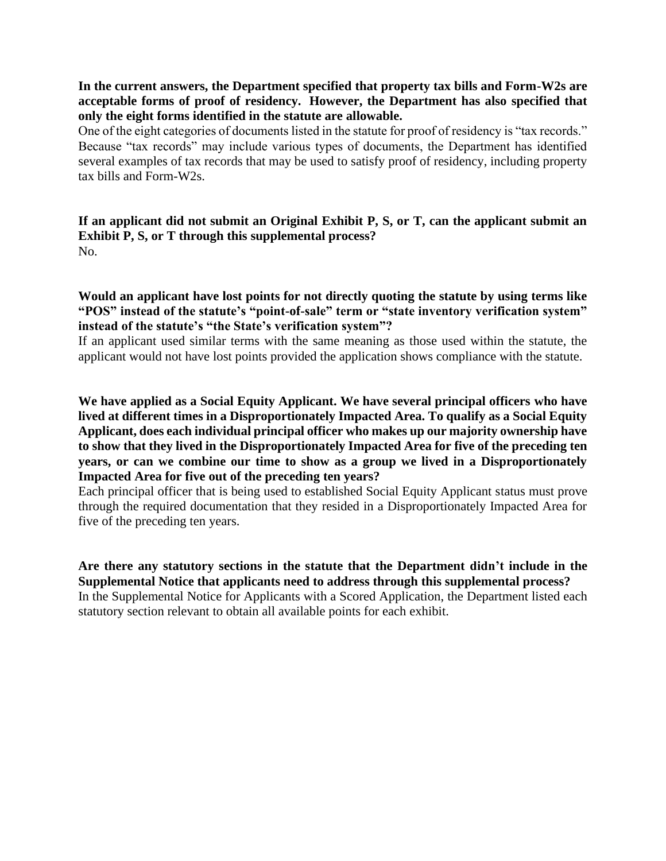**In the current answers, the Department specified that property tax bills and Form-W2s are acceptable forms of proof of residency. However, the Department has also specified that only the eight forms identified in the statute are allowable.**

One of the eight categories of documents listed in the statute for proof of residency is "tax records." Because "tax records" may include various types of documents, the Department has identified several examples of tax records that may be used to satisfy proof of residency, including property tax bills and Form-W2s.

**If an applicant did not submit an Original Exhibit P, S, or T, can the applicant submit an Exhibit P, S, or T through this supplemental process?** No.

**Would an applicant have lost points for not directly quoting the statute by using terms like "POS" instead of the statute's "point-of-sale" term or "state inventory verification system" instead of the statute's "the State's verification system"?**

If an applicant used similar terms with the same meaning as those used within the statute, the applicant would not have lost points provided the application shows compliance with the statute.

**We have applied as a Social Equity Applicant. We have several principal officers who have lived at different times in a Disproportionately Impacted Area. To qualify as a Social Equity Applicant, does each individual principal officer who makes up our majority ownership have to show that they lived in the Disproportionately Impacted Area for five of the preceding ten years, or can we combine our time to show as a group we lived in a Disproportionately Impacted Area for five out of the preceding ten years?**

Each principal officer that is being used to established Social Equity Applicant status must prove through the required documentation that they resided in a Disproportionately Impacted Area for five of the preceding ten years.

**Are there any statutory sections in the statute that the Department didn't include in the Supplemental Notice that applicants need to address through this supplemental process?** In the Supplemental Notice for Applicants with a Scored Application, the Department listed each statutory section relevant to obtain all available points for each exhibit.